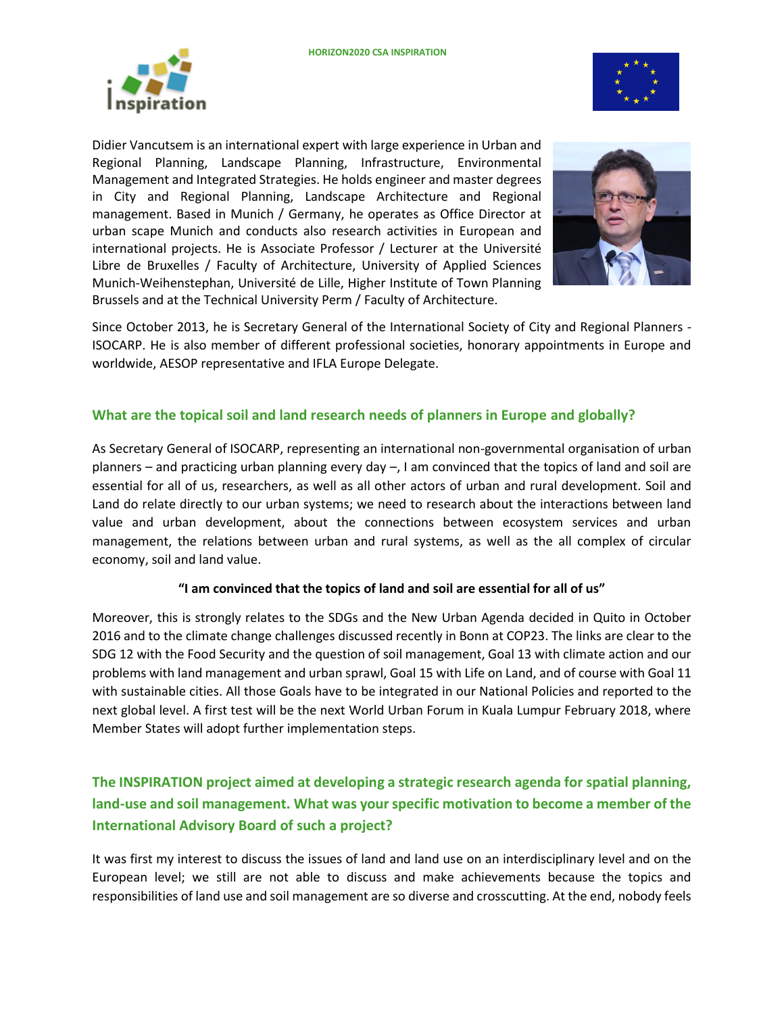



Didier Vancutsem is an international expert with large experience in Urban and Regional Planning, Landscape Planning, Infrastructure, Environmental Management and Integrated Strategies. He holds engineer and master degrees in City and Regional Planning, Landscape Architecture and Regional management. Based in Munich / Germany, he operates as Office Director at urban scape Munich and conducts also research activities in European and international projects. He is Associate Professor / Lecturer at the Université Libre de Bruxelles / Faculty of Architecture, University of Applied Sciences Munich-Weihenstephan, Université de Lille, Higher Institute of Town Planning Brussels and at the Technical University Perm / Faculty of Architecture.



Since October 2013, he is Secretary General of the International Society of City and Regional Planners - ISOCARP. He is also member of different professional societies, honorary appointments in Europe and worldwide, AESOP representative and IFLA Europe Delegate.

## **What are the topical soil and land research needs of planners in Europe and globally?**

As Secretary General of ISOCARP, representing an international non-governmental organisation of urban planners – and practicing urban planning every day –, I am convinced that the topics of land and soil are essential for all of us, researchers, as well as all other actors of urban and rural development. Soil and Land do relate directly to our urban systems; we need to research about the interactions between land value and urban development, about the connections between ecosystem services and urban management, the relations between urban and rural systems, as well as the all complex of circular economy, soil and land value.

#### **"I am convinced that the topics of land and soil are essential for all of us"**

Moreover, this is strongly relates to the SDGs and the New Urban Agenda decided in Quito in October 2016 and to the climate change challenges discussed recently in Bonn at COP23. The links are clear to the SDG 12 with the Food Security and the question of soil management, Goal 13 with climate action and our problems with land management and urban sprawl, Goal 15 with Life on Land, and of course with Goal 11 with sustainable cities. All those Goals have to be integrated in our National Policies and reported to the next global level. A first test will be the next World Urban Forum in Kuala Lumpur February 2018, where Member States will adopt further implementation steps.

# **The INSPIRATION project aimed at developing a strategic research agenda for spatial planning, land-use and soil management. What was your specific motivation to become a member of the International Advisory Board of such a project?**

It was first my interest to discuss the issues of land and land use on an interdisciplinary level and on the European level; we still are not able to discuss and make achievements because the topics and responsibilities of land use and soil management are so diverse and crosscutting. At the end, nobody feels